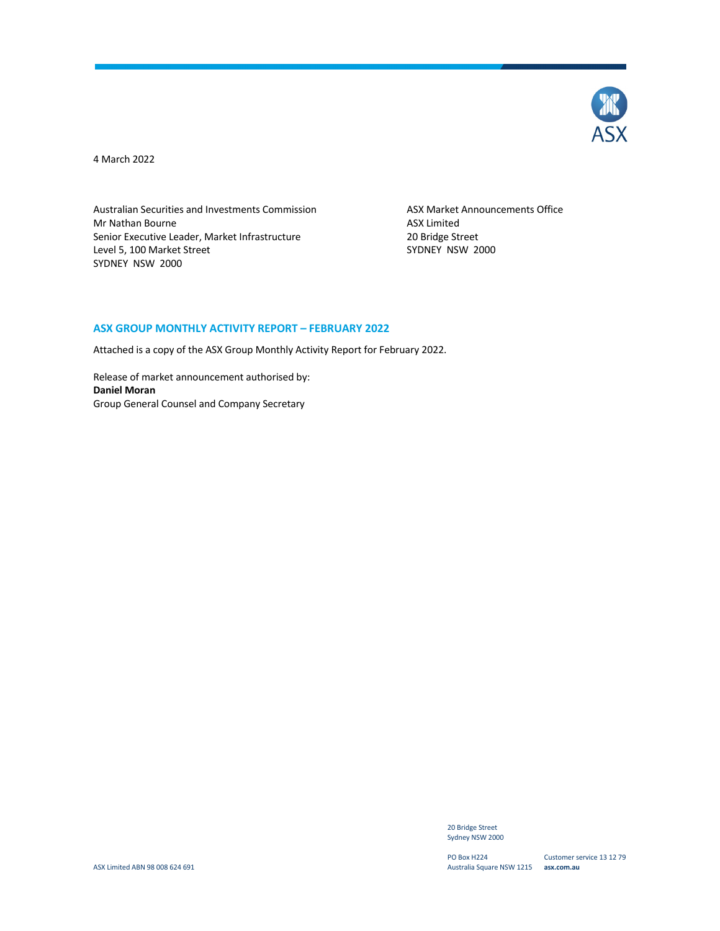

4 March 2022

Australian Securities and Investments Commission ASX Market Announcements Office Mr Nathan Bourne **ASX** Limited Senior Executive Leader, Market Infrastructure 20 Bridge Street Level 5, 100 Market Street Street Supervisory 3000 SYDNEY NSW 2000 SYDNEY NSW 2000

#### **ASX GROUP MONTHLY ACTIVITY REPORT – FEBRUARY 2022**

Attached is a copy of the ASX Group Monthly Activity Report for February 2022.

Release of market announcement authorised by: **Daniel Moran** Group General Counsel and Company Secretary

> 20 Bridge Street Sydney NSW 2000

PO Box H224 Australia Square NSW 1215 **asx.com.au**

Customer service 13 12 79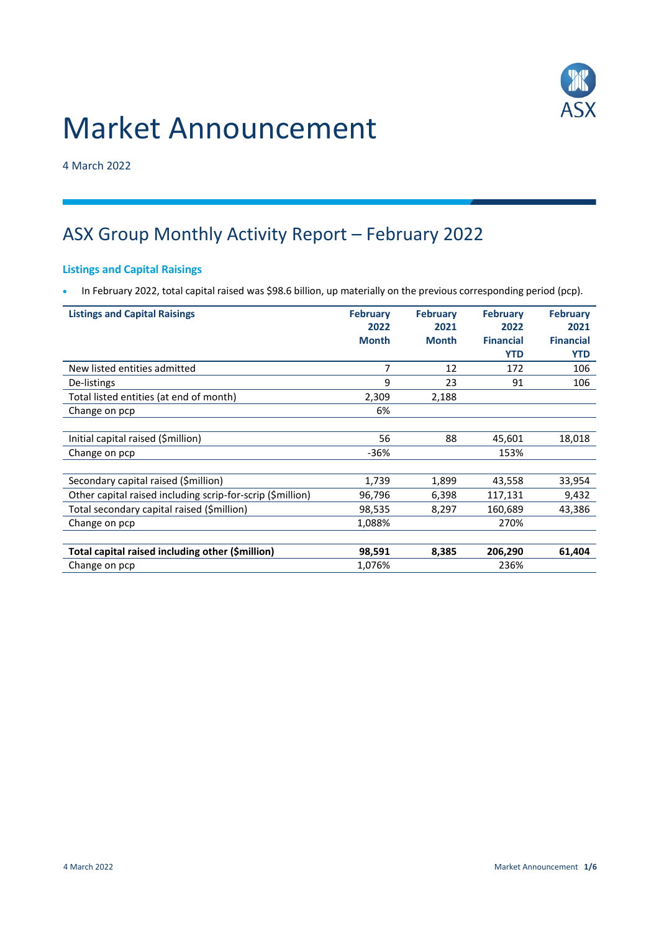# Market Announcement



4 March 2022

# ASX Group Monthly Activity Report – February 2022

# **Listings and Capital Raisings**

In February 2022, total capital raised was \$98.6 billion, up materially on the previous corresponding period (pcp).

| <b>Listings and Capital Raisings</b>                       | <b>February</b> | <b>February</b> | <b>February</b>  | <b>February</b>  |
|------------------------------------------------------------|-----------------|-----------------|------------------|------------------|
|                                                            | 2022            | 2021            | 2022             | 2021             |
|                                                            | <b>Month</b>    | <b>Month</b>    | <b>Financial</b> | <b>Financial</b> |
|                                                            |                 |                 | <b>YTD</b>       | <b>YTD</b>       |
| New listed entities admitted                               | 7               | 12              | 172              | 106              |
| De-listings                                                | 9               | 23              | 91               | 106              |
| Total listed entities (at end of month)                    | 2,309           | 2,188           |                  |                  |
| Change on pcp                                              | 6%              |                 |                  |                  |
|                                                            |                 |                 |                  |                  |
| Initial capital raised (\$million)                         | 56              | 88              | 45,601           | 18,018           |
| Change on pcp                                              | $-36%$          |                 | 153%             |                  |
|                                                            |                 |                 |                  |                  |
| Secondary capital raised (\$million)                       | 1,739           | 1,899           | 43,558           | 33,954           |
| Other capital raised including scrip-for-scrip (\$million) | 96,796          | 6,398           | 117,131          | 9,432            |
| Total secondary capital raised (\$million)                 | 98,535          | 8,297           | 160,689          | 43,386           |
| Change on pcp                                              | 1,088%          |                 | 270%             |                  |
|                                                            |                 |                 |                  |                  |
| Total capital raised including other (\$million)           | 98,591          | 8,385           | 206,290          | 61,404           |
| Change on pcp                                              | 1,076%          |                 | 236%             |                  |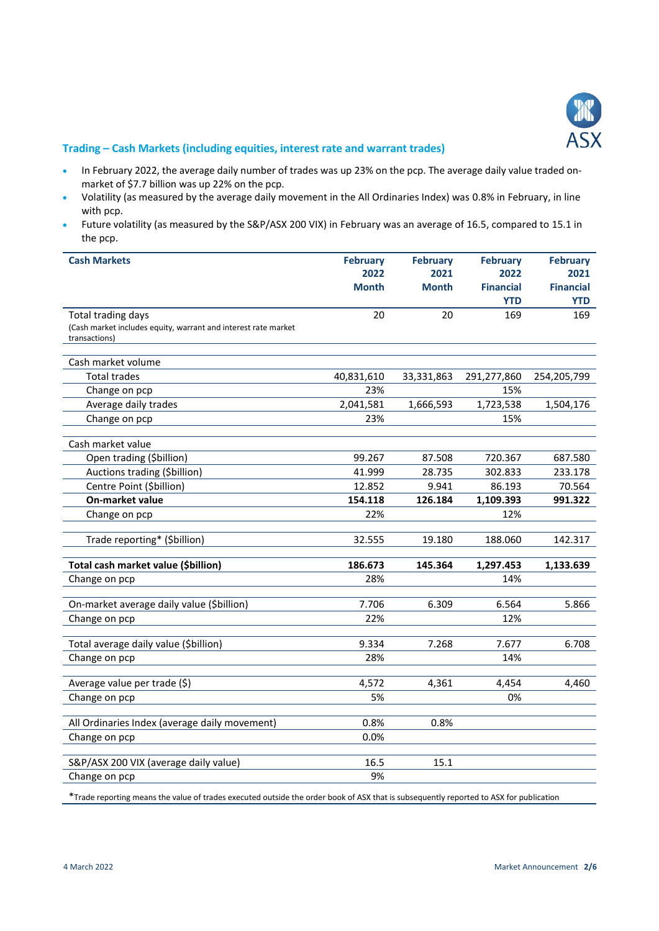

### **Trading – Cash Markets (including equities, interest rate and warrant trades)**

- In February 2022, the average daily number of trades was up 23% on the pcp. The average daily value traded onmarket of \$7.7 billion was up 22% on the pcp.
- Volatility (as measured by the average daily movement in the All Ordinaries Index) was 0.8% in February, in line with pcp.
- Future volatility (as measured by the S&P/ASX 200 VIX) in February was an average of 16.5, compared to 15.1 in the pcp.

| <b>Cash Markets</b>                                            | <b>February</b> | <b>February</b> | <b>February</b>  | <b>February</b>  |
|----------------------------------------------------------------|-----------------|-----------------|------------------|------------------|
|                                                                | 2022            | 2021            | 2022             | 2021             |
|                                                                | <b>Month</b>    | <b>Month</b>    | <b>Financial</b> | <b>Financial</b> |
|                                                                |                 |                 | <b>YTD</b>       | <b>YTD</b>       |
| Total trading days                                             | 20              | 20              | 169              | 169              |
| (Cash market includes equity, warrant and interest rate market |                 |                 |                  |                  |
| transactions)                                                  |                 |                 |                  |                  |
| Cash market volume                                             |                 |                 |                  |                  |
| <b>Total trades</b>                                            | 40,831,610      | 33,331,863      | 291,277,860      | 254,205,799      |
| Change on pcp                                                  | 23%             |                 | 15%              |                  |
| Average daily trades                                           | 2,041,581       | 1,666,593       | 1,723,538        | 1,504,176        |
| Change on pcp                                                  | 23%             |                 | 15%              |                  |
|                                                                |                 |                 |                  |                  |
| Cash market value                                              |                 |                 |                  |                  |
| Open trading (\$billion)                                       | 99.267          | 87.508          | 720.367          | 687.580          |
| Auctions trading (\$billion)                                   | 41.999          | 28.735          | 302.833          | 233.178          |
| Centre Point (\$billion)                                       | 12.852          | 9.941           | 86.193           | 70.564           |
| On-market value                                                | 154.118         | 126.184         | 1,109.393        | 991.322          |
| Change on pcp                                                  | 22%             |                 | 12%              |                  |
| Trade reporting* (\$billion)                                   | 32.555          | 19.180          | 188.060          | 142.317          |
|                                                                |                 |                 |                  |                  |
| Total cash market value (\$billion)                            | 186.673         | 145.364         | 1,297.453        | 1,133.639        |
| Change on pcp                                                  | 28%             |                 | 14%              |                  |
| On-market average daily value (\$billion)                      | 7.706           | 6.309           | 6.564            | 5.866            |
| Change on pcp                                                  | 22%             |                 | 12%              |                  |
|                                                                |                 |                 |                  |                  |
| Total average daily value (\$billion)                          | 9.334           | 7.268           | 7.677            | 6.708            |
| Change on pcp                                                  | 28%             |                 | 14%              |                  |
| Average value per trade (\$)                                   | 4,572           | 4,361           | 4,454            | 4,460            |
| Change on pcp                                                  | 5%              |                 | 0%               |                  |
|                                                                |                 |                 |                  |                  |
| All Ordinaries Index (average daily movement)                  | 0.8%            | 0.8%            |                  |                  |
| Change on pcp                                                  | 0.0%            |                 |                  |                  |
|                                                                |                 |                 |                  |                  |
| S&P/ASX 200 VIX (average daily value)                          | 16.5            | 15.1            |                  |                  |
| Change on pcp                                                  | 9%              |                 |                  |                  |

\*Trade reporting means the value of trades executed outside the order book of ASX that is subsequently reported to ASX for publication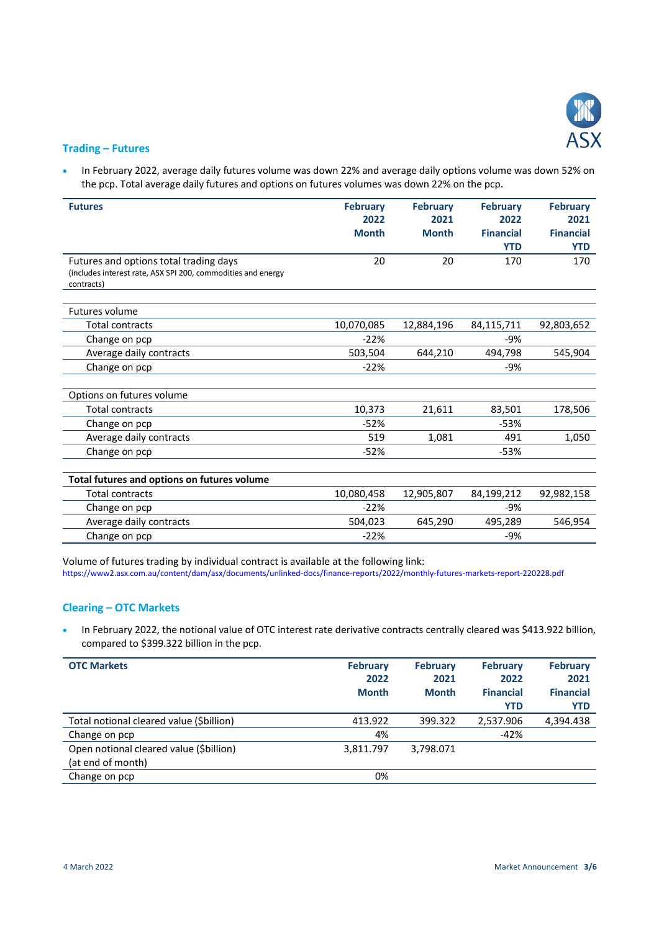

#### **Trading – Futures**

 In February 2022, average daily futures volume was down 22% and average daily options volume was down 52% on the pcp. Total average daily futures and options on futures volumes was down 22% on the pcp.

| <b>Futures</b>                                                                                                       | <b>February</b><br>2022<br><b>Month</b> | <b>February</b><br>2021<br><b>Month</b> | <b>February</b><br>2022<br><b>Financial</b><br><b>YTD</b> | <b>February</b><br>2021<br><b>Financial</b><br><b>YTD</b> |
|----------------------------------------------------------------------------------------------------------------------|-----------------------------------------|-----------------------------------------|-----------------------------------------------------------|-----------------------------------------------------------|
| Futures and options total trading days<br>(includes interest rate, ASX SPI 200, commodities and energy<br>contracts) | 20                                      | 20                                      | 170                                                       | 170                                                       |
| <b>Futures volume</b>                                                                                                |                                         |                                         |                                                           |                                                           |
| <b>Total contracts</b>                                                                                               | 10,070,085                              | 12,884,196                              | 84,115,711                                                | 92,803,652                                                |
| Change on pcp                                                                                                        | $-22%$                                  |                                         | -9%                                                       |                                                           |
| Average daily contracts                                                                                              | 503,504                                 | 644,210                                 | 494,798                                                   | 545,904                                                   |
| Change on pcp                                                                                                        | $-22%$                                  |                                         | $-9%$                                                     |                                                           |
| Options on futures volume                                                                                            |                                         |                                         |                                                           |                                                           |
| <b>Total contracts</b>                                                                                               | 10,373                                  | 21,611                                  | 83,501                                                    | 178,506                                                   |
| Change on pcp                                                                                                        | $-52%$                                  |                                         | $-53%$                                                    |                                                           |
| Average daily contracts                                                                                              | 519                                     | 1,081                                   | 491                                                       | 1,050                                                     |
| Change on pcp                                                                                                        | $-52%$                                  |                                         | $-53%$                                                    |                                                           |
|                                                                                                                      |                                         |                                         |                                                           |                                                           |
| Total futures and options on futures volume                                                                          |                                         |                                         |                                                           |                                                           |
| <b>Total contracts</b>                                                                                               | 10,080,458                              | 12,905,807                              | 84,199,212                                                | 92,982,158                                                |
| Change on pcp                                                                                                        | $-22%$                                  |                                         | -9%                                                       |                                                           |
| Average daily contracts                                                                                              | 504,023                                 | 645,290                                 | 495,289                                                   | 546,954                                                   |
| Change on pcp                                                                                                        | $-22%$                                  |                                         | -9%                                                       |                                                           |

Volume of futures trading by individual contract is available at the following link: <https://www2.asx.com.au/content/dam/asx/documents/unlinked-docs/finance-reports/2022/monthly-futures-markets-report-220228.pdf>

## **Clearing – OTC Markets**

 In February 2022, the notional value of OTC interest rate derivative contracts centrally cleared was \$413.922 billion, compared to \$399.322 billion in the pcp.

| <b>OTC Markets</b>                                           | <b>February</b><br>2022<br><b>Month</b> | <b>February</b><br>2021<br><b>Month</b> | <b>February</b><br>2022<br><b>Financial</b><br><b>YTD</b> | <b>February</b><br>2021<br><b>Financial</b><br><b>YTD</b> |
|--------------------------------------------------------------|-----------------------------------------|-----------------------------------------|-----------------------------------------------------------|-----------------------------------------------------------|
| Total notional cleared value (\$billion)                     | 413.922                                 | 399.322                                 | 2,537.906                                                 | 4,394.438                                                 |
| Change on pcp                                                | 4%                                      |                                         | $-42%$                                                    |                                                           |
| Open notional cleared value (\$billion)<br>(at end of month) | 3,811.797                               | 3,798.071                               |                                                           |                                                           |
| Change on pcp                                                | 0%                                      |                                         |                                                           |                                                           |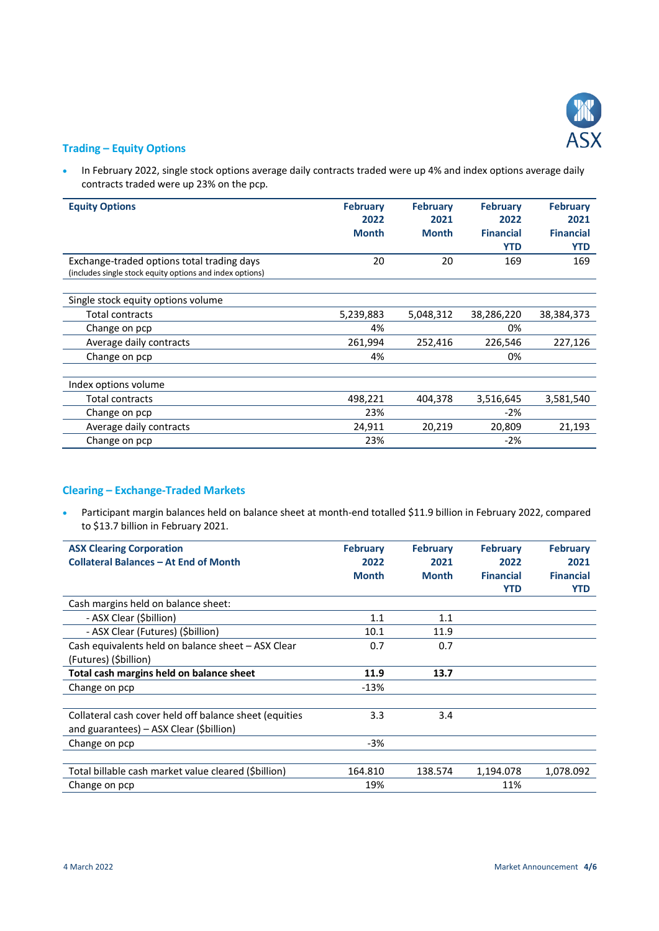

# **Trading – Equity Options**

• In February 2022, single stock options average daily contracts traded were up 4% and index options average daily contracts traded were up 23% on the pcp.

| <b>Equity Options</b>                                    | <b>February</b> | <b>February</b> | <b>February</b>  | <b>February</b>  |
|----------------------------------------------------------|-----------------|-----------------|------------------|------------------|
|                                                          | 2022            | 2021            | 2022             | 2021             |
|                                                          | <b>Month</b>    | <b>Month</b>    | <b>Financial</b> | <b>Financial</b> |
|                                                          |                 |                 | <b>YTD</b>       | <b>YTD</b>       |
| Exchange-traded options total trading days               | 20              | 20              | 169              | 169              |
| (includes single stock equity options and index options) |                 |                 |                  |                  |
|                                                          |                 |                 |                  |                  |
| Single stock equity options volume                       |                 |                 |                  |                  |
| Total contracts                                          | 5,239,883       | 5,048,312       | 38,286,220       | 38,384,373       |
| Change on pcp                                            | 4%              |                 | 0%               |                  |
| Average daily contracts                                  | 261,994         | 252,416         | 226,546          | 227,126          |
| Change on pcp                                            | 4%              |                 | 0%               |                  |
|                                                          |                 |                 |                  |                  |
| Index options volume                                     |                 |                 |                  |                  |
| Total contracts                                          | 498,221         | 404,378         | 3,516,645        | 3,581,540        |
| Change on pcp                                            | 23%             |                 | $-2%$            |                  |
| Average daily contracts                                  | 24,911          | 20,219          | 20,809           | 21,193           |
| Change on pcp                                            | 23%             |                 | $-2%$            |                  |

# **Clearing – Exchange-Traded Markets**

 Participant margin balances held on balance sheet at month-end totalled \$11.9 billion in February 2022, compared to \$13.7 billion in February 2021.

| <b>ASX Clearing Corporation</b>                        | <b>February</b> | <b>February</b> | <b>February</b>  | <b>February</b>  |
|--------------------------------------------------------|-----------------|-----------------|------------------|------------------|
| <b>Collateral Balances - At End of Month</b>           | 2022            | 2021            | 2022             | 2021             |
|                                                        | <b>Month</b>    | <b>Month</b>    | <b>Financial</b> | <b>Financial</b> |
|                                                        |                 |                 | <b>YTD</b>       | <b>YTD</b>       |
| Cash margins held on balance sheet:                    |                 |                 |                  |                  |
| - ASX Clear (\$billion)                                | 1.1             | 1.1             |                  |                  |
| - ASX Clear (Futures) (Sbillion)                       | 10.1            | 11.9            |                  |                  |
| Cash equivalents held on balance sheet - ASX Clear     | 0.7             | 0.7             |                  |                  |
| (Futures) (Sbillion)                                   |                 |                 |                  |                  |
| Total cash margins held on balance sheet               | 11.9            | 13.7            |                  |                  |
| Change on pcp                                          | $-13%$          |                 |                  |                  |
|                                                        |                 |                 |                  |                  |
| Collateral cash cover held off balance sheet (equities | 3.3             | 3.4             |                  |                  |
| and guarantees) - ASX Clear (\$billion)                |                 |                 |                  |                  |
| Change on pcp                                          | $-3%$           |                 |                  |                  |
|                                                        |                 |                 |                  |                  |
| Total billable cash market value cleared (Sbillion)    | 164.810         | 138.574         | 1,194.078        | 1,078.092        |
| Change on pcp                                          | 19%             |                 | 11%              |                  |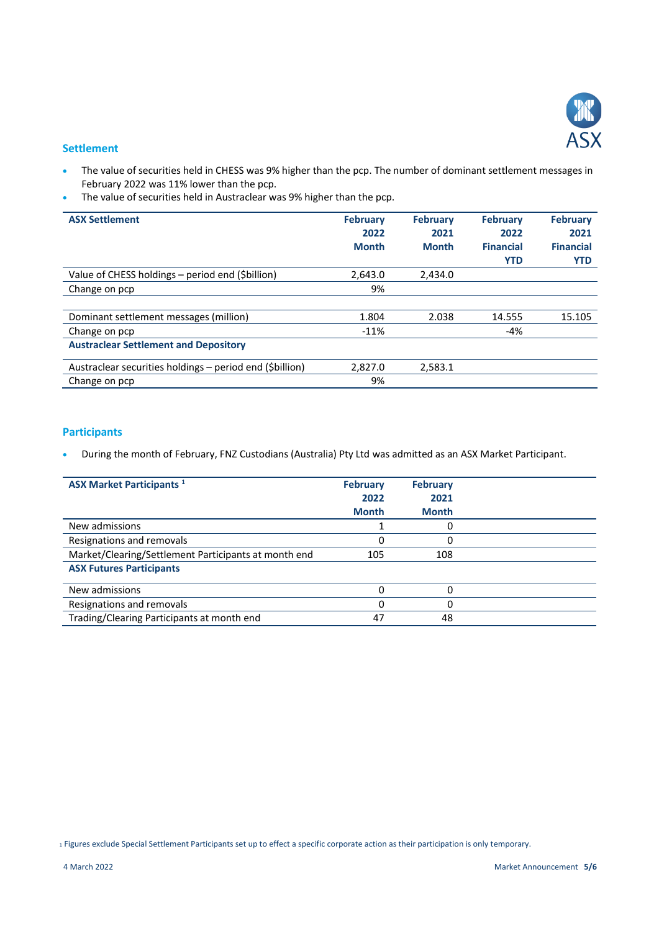

#### **Settlement**

- The value of securities held in CHESS was 9% higher than the pcp. The number of dominant settlement messages in February 2022 was 11% lower than the pcp.
- The value of securities held in Austraclear was 9% higher than the pcp.

| <b>ASX Settlement</b>                                    | <b>February</b><br>2022<br><b>Month</b> | <b>February</b><br>2021<br><b>Month</b> | <b>February</b><br>2022<br><b>Financial</b><br><b>YTD</b> | <b>February</b><br>2021<br><b>Financial</b><br><b>YTD</b> |
|----------------------------------------------------------|-----------------------------------------|-----------------------------------------|-----------------------------------------------------------|-----------------------------------------------------------|
| Value of CHESS holdings - period end (\$billion)         | 2,643.0                                 | 2,434.0                                 |                                                           |                                                           |
| Change on pcp                                            | 9%                                      |                                         |                                                           |                                                           |
|                                                          |                                         |                                         |                                                           |                                                           |
| Dominant settlement messages (million)                   | 1.804                                   | 2.038                                   | 14.555                                                    | 15.105                                                    |
| Change on pcp                                            | $-11%$                                  |                                         | $-4%$                                                     |                                                           |
| <b>Austraclear Settlement and Depository</b>             |                                         |                                         |                                                           |                                                           |
| Austraclear securities holdings – period end (\$billion) | 2,827.0                                 | 2,583.1                                 |                                                           |                                                           |
| Change on pcp                                            | 9%                                      |                                         |                                                           |                                                           |

# **Participants**

During the month of February, FNZ Custodians (Australia) Pty Ltd was admitted as an ASX Market Participant.

| <b>ASX Market Participants</b> <sup>1</sup>          | <b>February</b><br>2022<br><b>Month</b> | <b>February</b><br>2021<br><b>Month</b> |  |
|------------------------------------------------------|-----------------------------------------|-----------------------------------------|--|
| New admissions                                       |                                         |                                         |  |
| Resignations and removals                            | 0                                       | 0                                       |  |
| Market/Clearing/Settlement Participants at month end | 105                                     | 108                                     |  |
| <b>ASX Futures Participants</b>                      |                                         |                                         |  |
| New admissions                                       |                                         |                                         |  |
| Resignations and removals                            |                                         |                                         |  |
| Trading/Clearing Participants at month end           | 47                                      | 48                                      |  |

<sup>1</sup> Figures exclude Special Settlement Participants set up to effect a specific corporate action as their participation is only temporary.